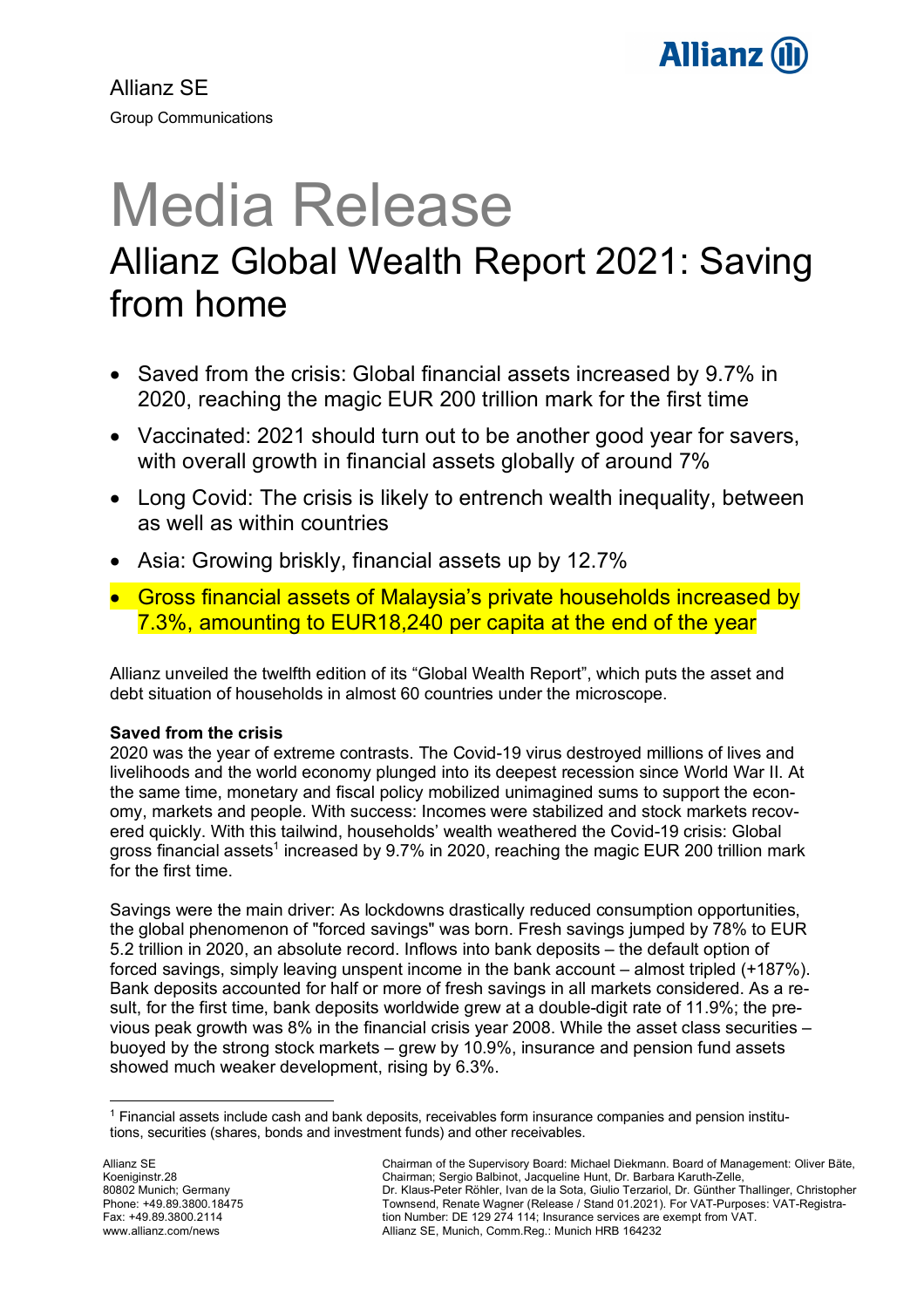

Allianz SE Group Communications

# Media Release Allianz Global Wealth Report 2021: Saving from home

- Saved from the crisis: Global financial assets increased by 9.7% in 2020, reaching the magic EUR 200 trillion mark for the first time
- Vaccinated: 2021 should turn out to be another good year for savers, with overall growth in financial assets globally of around 7%
- Long Covid: The crisis is likely to entrench wealth inequality, between as well as within countries
- Asia: Growing briskly, financial assets up by 12.7%
- Gross financial assets of Malaysia's private households increased by 7.3%, amounting to EUR18,240 per capita at the end of the year

Allianz unveiled the twelfth edition of its "Global Wealth Report", which puts the asset and debt situation of households in almost 60 countries under the microscope.

# **Saved from the crisis**

2020 was the year of extreme contrasts. The Covid-19 virus destroyed millions of lives and livelihoods and the world economy plunged into its deepest recession since World War II. At the same time, monetary and fiscal policy mobilized unimagined sums to support the economy, markets and people. With success: Incomes were stabilized and stock markets recovered quickly. With this tailwind, households' wealth weathered the Covid-19 crisis: Global gross financial assets<sup>1</sup> increased by 9.7% in 2020, reaching the magic EUR 200 trillion mark for the first time.

Savings were the main driver: As lockdowns drastically reduced consumption opportunities, the global phenomenon of "forced savings" was born. Fresh savings jumped by 78% to EUR 5.2 trillion in 2020, an absolute record. Inflows into bank deposits – the default option of forced savings, simply leaving unspent income in the bank account – almost tripled (+187%). Bank deposits accounted for half or more of fresh savings in all markets considered. As a result, for the first time, bank deposits worldwide grew at a double-digit rate of 11.9%; the previous peak growth was 8% in the financial crisis year 2008. While the asset class securities – buoyed by the strong stock markets – grew by 10.9%, insurance and pension fund assets showed much weaker development, rising by 6.3%.

 <sup>1</sup> Financial assets include cash and bank deposits, receivables form insurance companies and pension institutions, securities (shares, bonds and investment funds) and other receivables.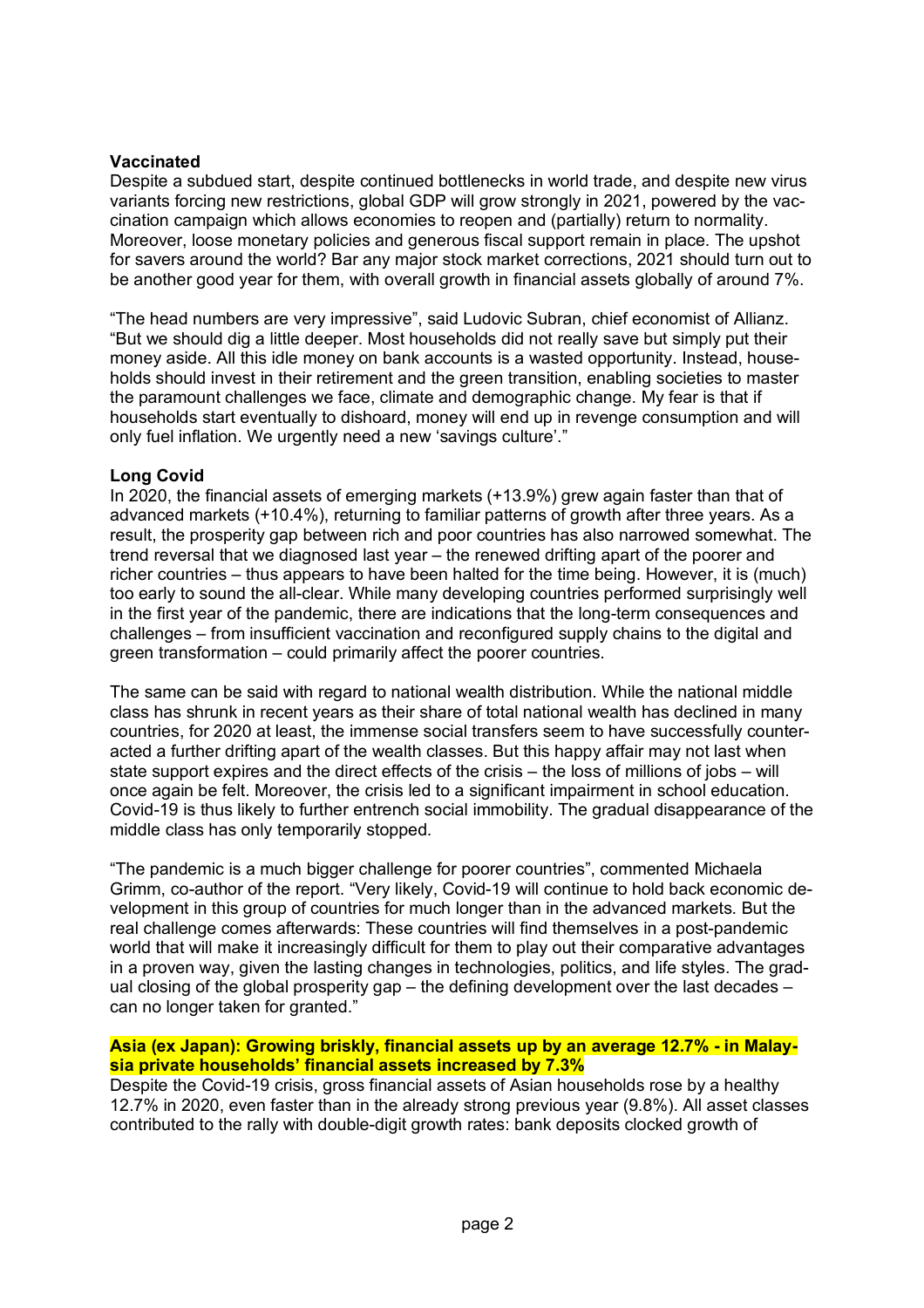## **Vaccinated**

Despite a subdued start, despite continued bottlenecks in world trade, and despite new virus variants forcing new restrictions, global GDP will grow strongly in 2021, powered by the vaccination campaign which allows economies to reopen and (partially) return to normality. Moreover, loose monetary policies and generous fiscal support remain in place. The upshot for savers around the world? Bar any major stock market corrections, 2021 should turn out to be another good year for them, with overall growth in financial assets globally of around 7%.

"The head numbers are very impressive", said Ludovic Subran, chief economist of Allianz. "But we should dig a little deeper. Most households did not really save but simply put their money aside. All this idle money on bank accounts is a wasted opportunity. Instead, households should invest in their retirement and the green transition, enabling societies to master the paramount challenges we face, climate and demographic change. My fear is that if households start eventually to dishoard, money will end up in revenge consumption and will only fuel inflation. We urgently need a new 'savings culture'."

## **Long Covid**

In 2020, the financial assets of emerging markets (+13.9%) grew again faster than that of advanced markets (+10.4%), returning to familiar patterns of growth after three years. As a result, the prosperity gap between rich and poor countries has also narrowed somewhat. The trend reversal that we diagnosed last year – the renewed drifting apart of the poorer and richer countries – thus appears to have been halted for the time being. However, it is (much) too early to sound the all-clear. While many developing countries performed surprisingly well in the first year of the pandemic, there are indications that the long-term consequences and challenges – from insufficient vaccination and reconfigured supply chains to the digital and green transformation – could primarily affect the poorer countries.

The same can be said with regard to national wealth distribution. While the national middle class has shrunk in recent years as their share of total national wealth has declined in many countries, for 2020 at least, the immense social transfers seem to have successfully counteracted a further drifting apart of the wealth classes. But this happy affair may not last when state support expires and the direct effects of the crisis – the loss of millions of jobs – will once again be felt. Moreover, the crisis led to a significant impairment in school education. Covid-19 is thus likely to further entrench social immobility. The gradual disappearance of the middle class has only temporarily stopped.

"The pandemic is a much bigger challenge for poorer countries", commented Michaela Grimm, co-author of the report. "Very likely, Covid-19 will continue to hold back economic development in this group of countries for much longer than in the advanced markets. But the real challenge comes afterwards: These countries will find themselves in a post-pandemic world that will make it increasingly difficult for them to play out their comparative advantages in a proven way, given the lasting changes in technologies, politics, and life styles. The gradual closing of the global prosperity gap – the defining development over the last decades – can no longer taken for granted."

## **Asia (ex Japan): Growing briskly, financial assets up by an average 12.7% - in Malaysia private households' financial assets increased by 7.3%**

Despite the Covid-19 crisis, gross financial assets of Asian households rose by a healthy 12.7% in 2020, even faster than in the already strong previous year (9.8%). All asset classes contributed to the rally with double-digit growth rates: bank deposits clocked growth of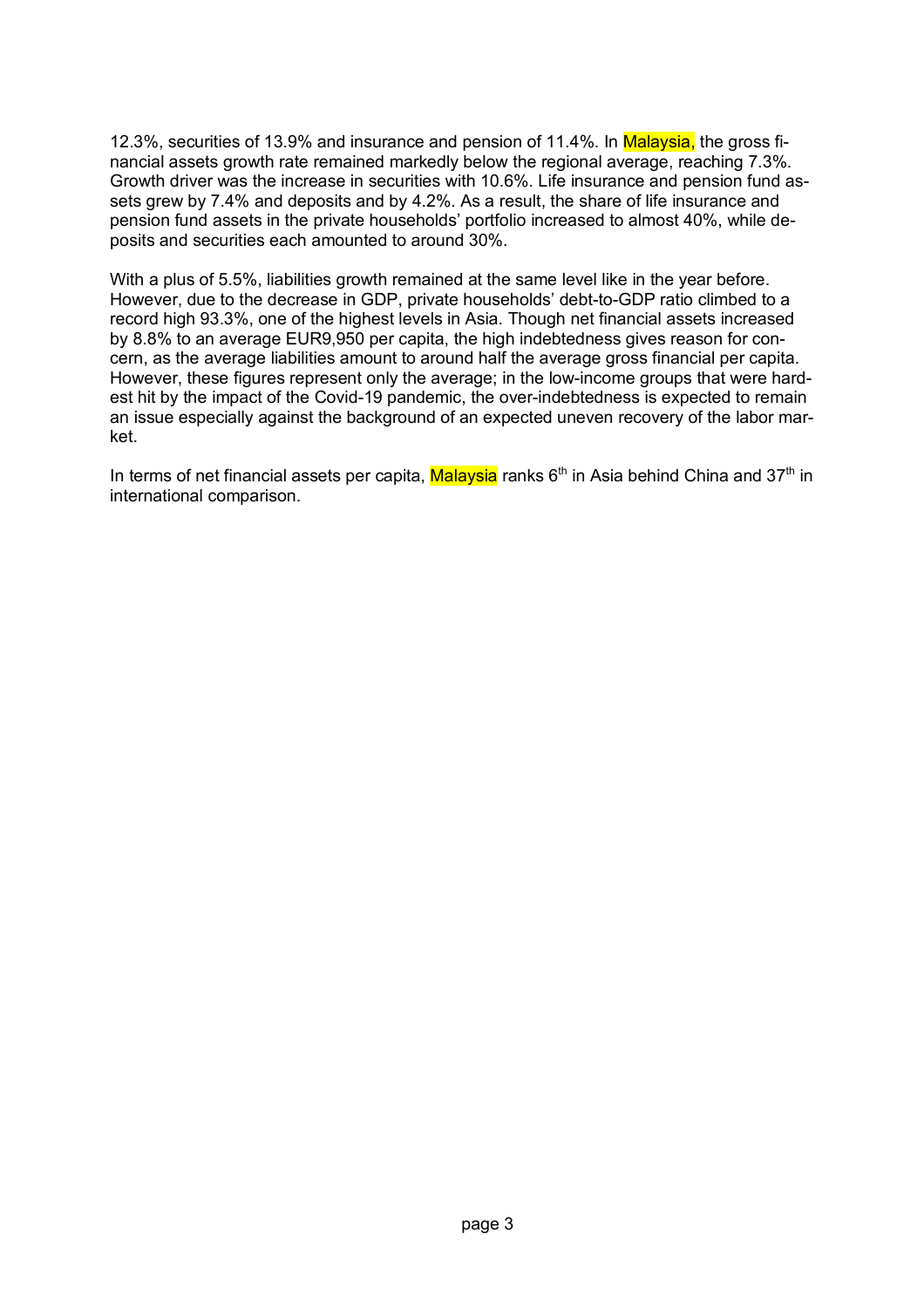12.3%, securities of 13.9% and insurance and pension of 11.4%. In Malaysia, the gross financial assets growth rate remained markedly below the regional average, reaching 7.3%. Growth driver was the increase in securities with 10.6%. Life insurance and pension fund assets grew by 7.4% and deposits and by 4.2%. As a result, the share of life insurance and pension fund assets in the private households' portfolio increased to almost 40%, while deposits and securities each amounted to around 30%.

With a plus of 5.5%, liabilities growth remained at the same level like in the year before. However, due to the decrease in GDP, private households' debt-to-GDP ratio climbed to a record high 93.3%, one of the highest levels in Asia. Though net financial assets increased by 8.8% to an average EUR9,950 per capita, the high indebtedness gives reason for concern, as the average liabilities amount to around half the average gross financial per capita. However, these figures represent only the average; in the low-income groups that were hardest hit by the impact of the Covid-19 pandemic, the over-indebtedness is expected to remain an issue especially against the background of an expected uneven recovery of the labor market.

In terms of net financial assets per capita, Malaysia ranks  $6<sup>th</sup>$  in Asia behind China and 37<sup>th</sup> in international comparison.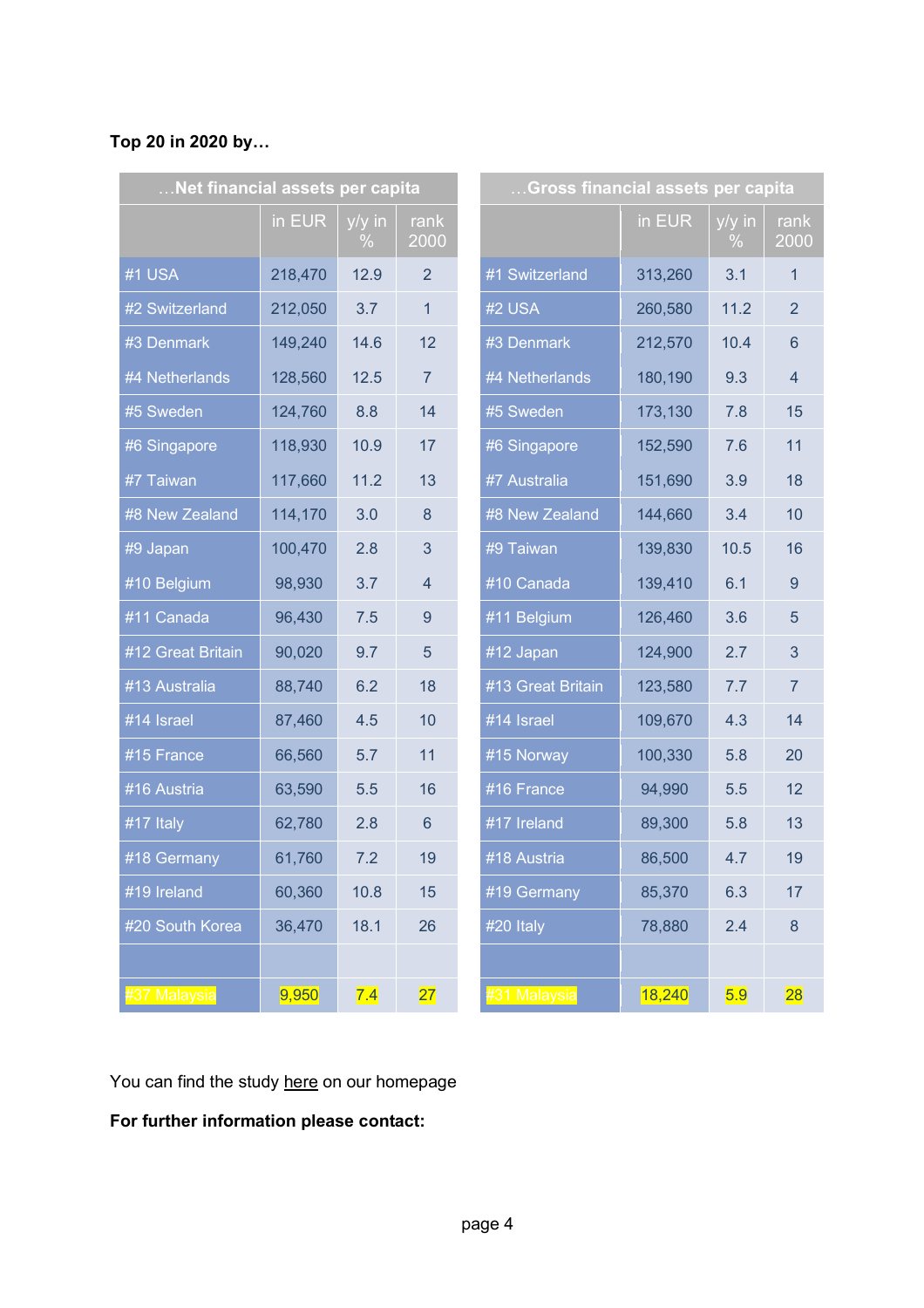# **Top 20 in 2020 by…**

| Net financial assets per capita |         |                |                | Gross financial assets per capita |         |                |                |
|---------------------------------|---------|----------------|----------------|-----------------------------------|---------|----------------|----------------|
|                                 | in EUR  | y/y in<br>$\%$ | rank<br>2000   |                                   | in EUR  | y/y in<br>$\%$ | ran<br>200     |
| #1 USA                          | 218,470 | 12.9           | $\overline{2}$ | #1 Switzerland                    | 313,260 | 3.1            | 1              |
| #2 Switzerland                  | 212,050 | 3.7            | $\mathbf{1}$   | #2 USA                            | 260,580 | 11.2           | $\overline{2}$ |
| #3 Denmark                      | 149,240 | 14.6           | 12             | #3 Denmark                        | 212,570 | 10.4           | $6\phantom{1}$ |
| #4 Netherlands                  | 128,560 | 12.5           | $\overline{7}$ | #4 Netherlands                    | 180,190 | 9.3            | $\overline{4}$ |
| #5 Sweden                       | 124,760 | 8.8            | 14             | #5 Sweden                         | 173,130 | 7.8            | 15             |
| #6 Singapore                    | 118,930 | 10.9           | 17             | #6 Singapore                      | 152,590 | 7.6            | 11             |
| #7 Taiwan                       | 117,660 | 11.2           | 13             | #7 Australia                      | 151,690 | 3.9            | 18             |
| #8 New Zealand                  | 114,170 | 3.0            | 8              | #8 New Zealand                    | 144,660 | 3.4            | 10             |
| #9 Japan                        | 100,470 | 2.8            | 3              | #9 Taiwan                         | 139,830 | 10.5           | 16             |
| #10 Belgium                     | 98,930  | 3.7            | $\overline{4}$ | #10 Canada                        | 139,410 | 6.1            | $9\,$          |
| #11 Canada                      | 96,430  | 7.5            | 9              | #11 Belgium                       | 126,460 | 3.6            | $\overline{5}$ |
| #12 Great Britain               | 90,020  | 9.7            | 5              | #12 Japan                         | 124,900 | 2.7            | $\mathfrak{S}$ |
| #13 Australia                   | 88,740  | 6.2            | 18             | #13 Great Britain                 | 123,580 | 7.7            | $\overline{7}$ |
| #14 Israel                      | 87,460  | 4.5            | 10             | #14 Israel                        | 109,670 | 4.3            | 14             |
| #15 France                      | 66,560  | 5.7            | 11             | #15 Norway                        | 100,330 | 5.8            | 20             |
| #16 Austria                     | 63,590  | 5.5            | 16             | #16 France                        | 94,990  | 5.5            | 12             |
| #17 Italy                       | 62,780  | 2.8            | $6\phantom{1}$ | #17 Ireland                       | 89,300  | 5.8            | 13             |
| #18 Germany                     | 61,760  | 7.2            | 19             | #18 Austria                       | 86,500  | 4.7            | 19             |
| $\overline{\#}$ 19 Ireland      | 60,360  | 10.8           | 15             | #19 Germany                       | 85,370  | 6.3            | 17             |
| #20 South Korea                 | 36,470  | 18.1           | 26             | #20 Italy                         | 78,880  | 2.4            | $\bf 8$        |
|                                 |         |                |                |                                   |         |                |                |
| <sup>£</sup> 37 Malaysia        | 9,950   | 7.4            | 27             | <b>#31 Malaysia</b>               | 18,240  | 5.9            | 28             |

| Gross financial assets per capita |         |                       |                |  |  |  |  |
|-----------------------------------|---------|-----------------------|----------------|--|--|--|--|
|                                   | in EUR  | $\frac{y}{y}$ in<br>℅ | rank<br>2000   |  |  |  |  |
| #1 Switzerland                    | 313,260 | 3.1                   | 1              |  |  |  |  |
| #2 USA                            | 260,580 | 11.2                  | $\overline{2}$ |  |  |  |  |
| #3 Denmark                        | 212,570 | 10.4                  | 6              |  |  |  |  |
| #4 Netherlands                    | 180,190 | 9.3                   | $\overline{4}$ |  |  |  |  |
| #5 Sweden                         | 173,130 | 7.8                   | 15             |  |  |  |  |
| #6 Singapore                      | 152,590 | 7.6                   | 11             |  |  |  |  |
| #7 Australia                      | 151,690 | 3.9                   | 18             |  |  |  |  |
| #8 New Zealand                    | 144,660 | 3.4                   | 10             |  |  |  |  |
| #9 Taiwan                         | 139,830 | 10.5                  | 16             |  |  |  |  |
| #10 Canada                        | 139,410 | 6.1                   | 9              |  |  |  |  |
| #11 Belgium                       | 126,460 | 3.6                   | 5              |  |  |  |  |
| #12 Japan                         | 124,900 | 2.7                   | 3              |  |  |  |  |
| #13 Great Britain                 | 123,580 | 7.7                   | $\overline{7}$ |  |  |  |  |
| #14 Israel                        | 109,670 | 4.3                   | 14             |  |  |  |  |
| #15 Norway                        | 100,330 | 5.8                   | 20             |  |  |  |  |
| #16 France                        | 94,990  | 5.5                   | 12             |  |  |  |  |
| #17 Ireland                       | 89,300  | 5.8                   | 13             |  |  |  |  |
| #18 Austria                       | 86,500  | 4.7                   | 19             |  |  |  |  |
| #19 Germany                       | 85,370  | 6.3                   | 17             |  |  |  |  |
| #20 Italy                         | 78,880  | 2.4                   | 8              |  |  |  |  |
|                                   |         |                       |                |  |  |  |  |
| #31 Malaysia                      | 18,240  | 5.9                   | 28             |  |  |  |  |

You can find the study here on our homepage

# **For further information please contact:**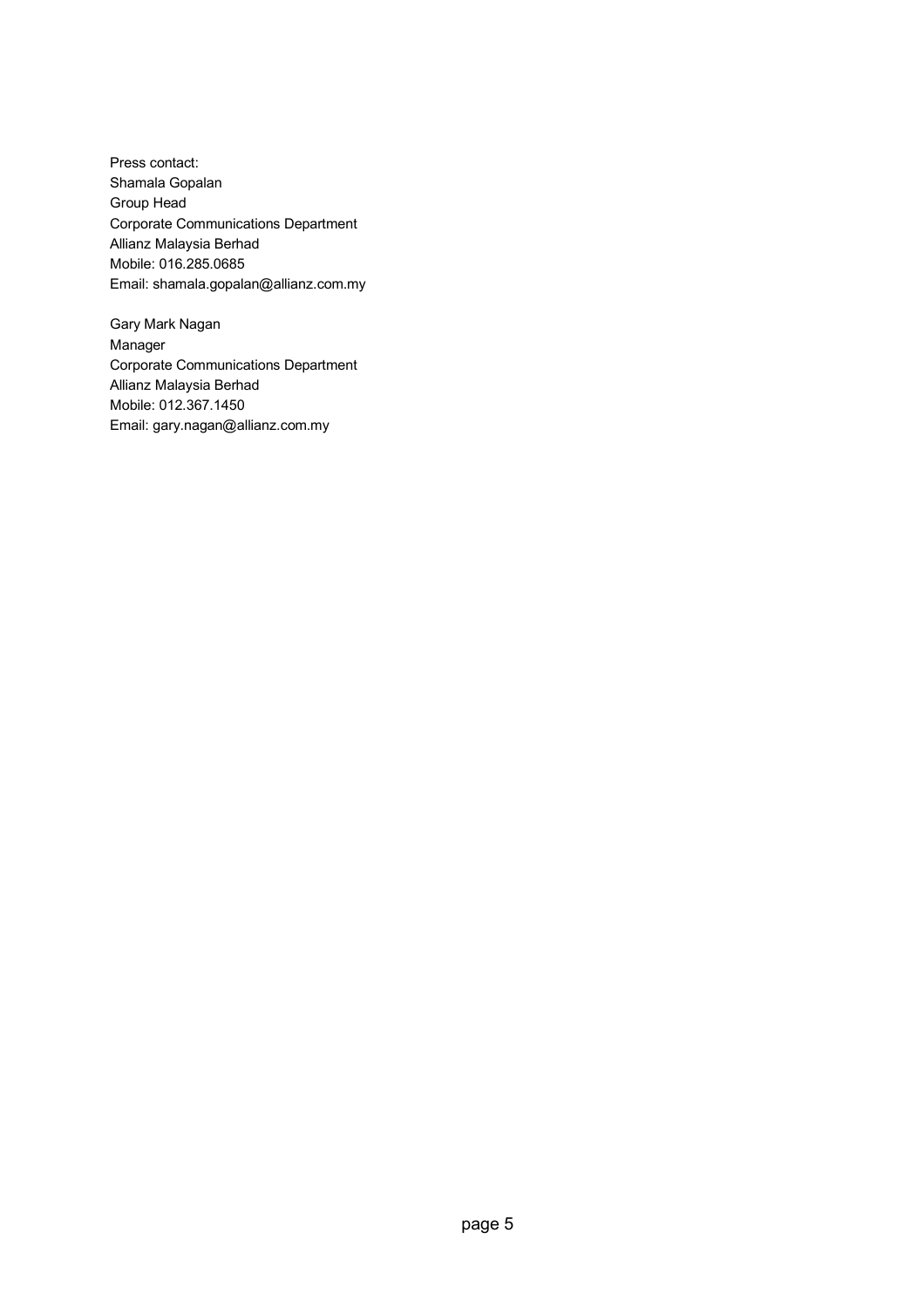Press contact: Shamala Gopalan Group Head Corporate Communications Department Allianz Malaysia Berhad Mobile: 016.285.0685 Email: shamala.gopalan@allianz.com.my

Gary Mark Nagan Manager Corporate Communications Department Allianz Malaysia Berhad Mobile: 012.367.1450 Email: gary.nagan@allianz.com.my